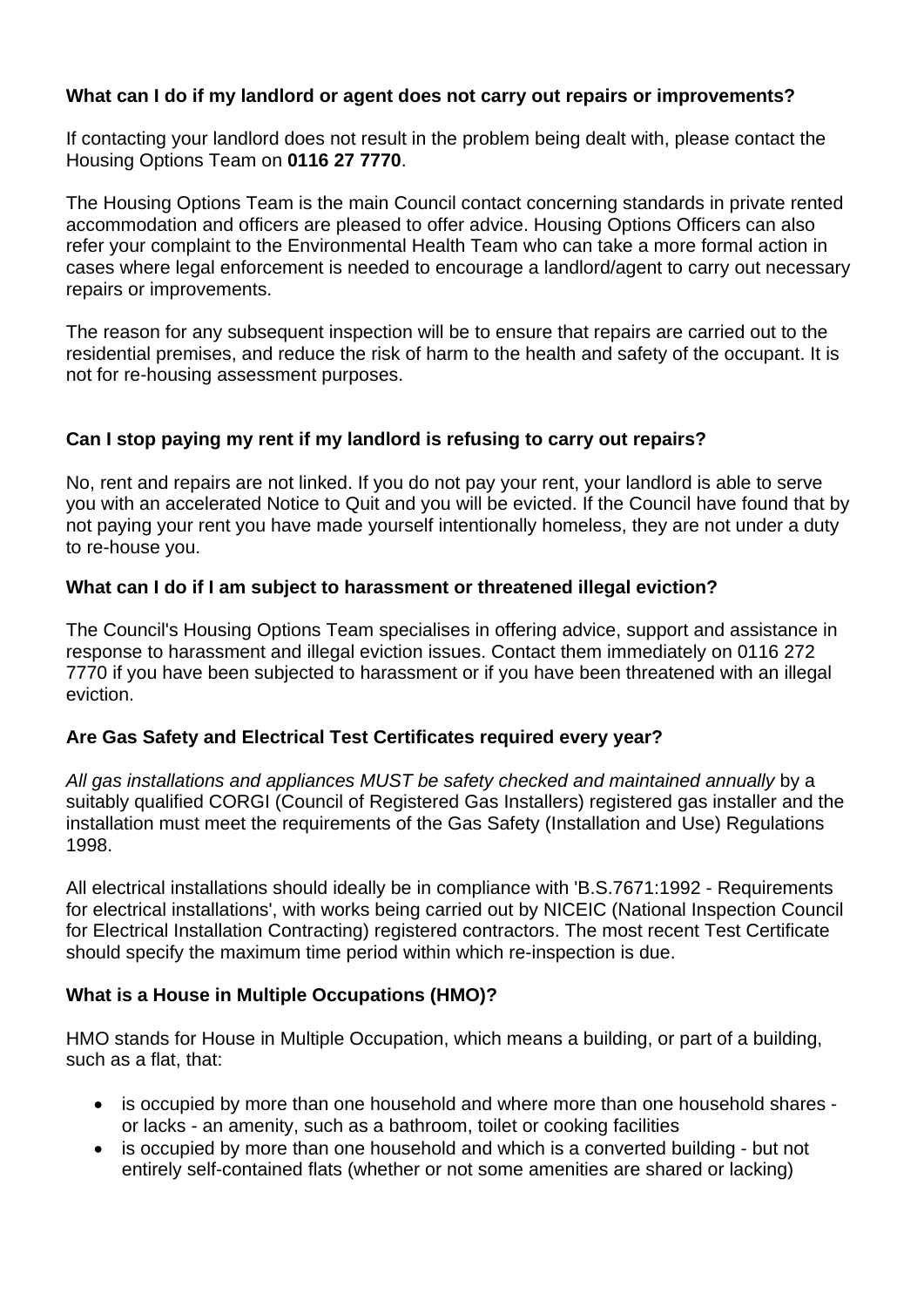## **What can I do if my landlord or agent does not carry out repairs or improvements?**

If contacting your landlord does not result in the problem being dealt with, please contact the Housing Options Team on **0116 27 7770**.

The Housing Options Team is the main Council contact concerning standards in private rented accommodation and officers are pleased to offer advice. Housing Options Officers can also refer your complaint to the Environmental Health Team who can take a more formal action in cases where legal enforcement is needed to encourage a landlord/agent to carry out necessary repairs or improvements.

The reason for any subsequent inspection will be to ensure that repairs are carried out to the residential premises, and reduce the risk of harm to the health and safety of the occupant. It is not for re-housing assessment purposes.

## **Can I stop paying my rent if my landlord is refusing to carry out repairs?**

No, rent and repairs are not linked. If you do not pay your rent, your landlord is able to serve you with an accelerated Notice to Quit and you will be evicted. If the Council have found that by not paying your rent you have made yourself intentionally homeless, they are not under a duty to re-house you.

## **What can I do if I am subject to harassment or threatened illegal eviction?**

The Council's Housing Options Team specialises in offering advice, support and assistance in response to harassment and illegal eviction issues. Contact them immediately on 0116 272 7770 if you have been subjected to harassment or if you have been threatened with an illegal eviction.

#### **Are Gas Safety and Electrical Test Certificates required every year?**

*All gas installations and appliances MUST be safety checked and maintained annually* by a suitably qualified CORGI (Council of Registered Gas Installers) registered gas installer and the installation must meet the requirements of the Gas Safety (Installation and Use) Regulations 1998.

All electrical installations should ideally be in compliance with 'B.S.7671:1992 - Requirements for electrical installations', with works being carried out by NICEIC (National Inspection Council for Electrical Installation Contracting) registered contractors. The most recent Test Certificate should specify the maximum time period within which re-inspection is due.

# **What is a House in Multiple Occupations (HMO)?**

HMO stands for House in Multiple Occupation, which means a building, or part of a building, such as a flat, that:

- is occupied by more than one household and where more than one household shares or lacks - an amenity, such as a bathroom, toilet or cooking facilities
- is occupied by more than one household and which is a converted building but not entirely self-contained flats (whether or not some amenities are shared or lacking)